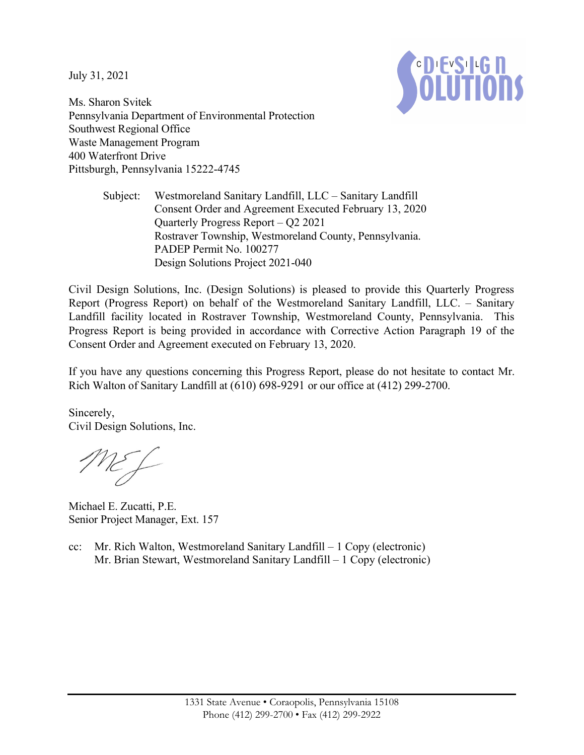July 31, 2021



Ms. Sharon Svitek Pennsylvania Department of Environmental Protection Southwest Regional Office Waste Management Program 400 Waterfront Drive Pittsburgh, Pennsylvania 15222-4745

> Subject: Westmoreland Sanitary Landfill, LLC – Sanitary Landfill Consent Order and Agreement Executed February 13, 2020 Quarterly Progress Report – Q2 2021 Rostraver Township, Westmoreland County, Pennsylvania. PADEP Permit No. 100277 Design Solutions Project 2021-040

Civil Design Solutions, Inc. (Design Solutions) is pleased to provide this Quarterly Progress Report (Progress Report) on behalf of the Westmoreland Sanitary Landfill, LLC. – Sanitary Landfill facility located in Rostraver Township, Westmoreland County, Pennsylvania. This Progress Report is being provided in accordance with Corrective Action Paragraph 19 of the Consent Order and Agreement executed on February 13, 2020.

If you have any questions concerning this Progress Report, please do not hesitate to contact Mr. Rich Walton of Sanitary Landfill at (610) 698-9291 or our office at (412) 299-2700.

Sincerely, Civil Design Solutions, Inc.

ME f

Michael E. Zucatti, P.E. Senior Project Manager, Ext. 157

cc: Mr. Rich Walton, Westmoreland Sanitary Landfill – 1 Copy (electronic) Mr. Brian Stewart, Westmoreland Sanitary Landfill – 1 Copy (electronic)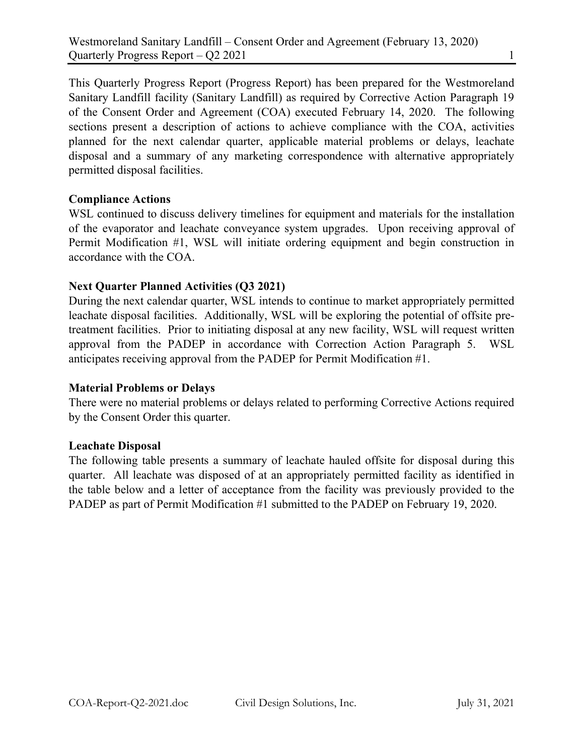This Quarterly Progress Report (Progress Report) has been prepared for the Westmoreland Sanitary Landfill facility (Sanitary Landfill) as required by Corrective Action Paragraph 19 of the Consent Order and Agreement (COA) executed February 14, 2020. The following sections present a description of actions to achieve compliance with the COA, activities planned for the next calendar quarter, applicable material problems or delays, leachate disposal and a summary of any marketing correspondence with alternative appropriately permitted disposal facilities.

# Compliance Actions

WSL continued to discuss delivery timelines for equipment and materials for the installation of the evaporator and leachate conveyance system upgrades. Upon receiving approval of Permit Modification #1, WSL will initiate ordering equipment and begin construction in accordance with the COA.

# Next Quarter Planned Activities (Q3 2021)

During the next calendar quarter, WSL intends to continue to market appropriately permitted leachate disposal facilities. Additionally, WSL will be exploring the potential of offsite pretreatment facilities. Prior to initiating disposal at any new facility, WSL will request written approval from the PADEP in accordance with Correction Action Paragraph 5. WSL anticipates receiving approval from the PADEP for Permit Modification #1.

## Material Problems or Delays

There were no material problems or delays related to performing Corrective Actions required by the Consent Order this quarter.

## Leachate Disposal

The following table presents a summary of leachate hauled offsite for disposal during this quarter. All leachate was disposed of at an appropriately permitted facility as identified in the table below and a letter of acceptance from the facility was previously provided to the PADEP as part of Permit Modification #1 submitted to the PADEP on February 19, 2020.